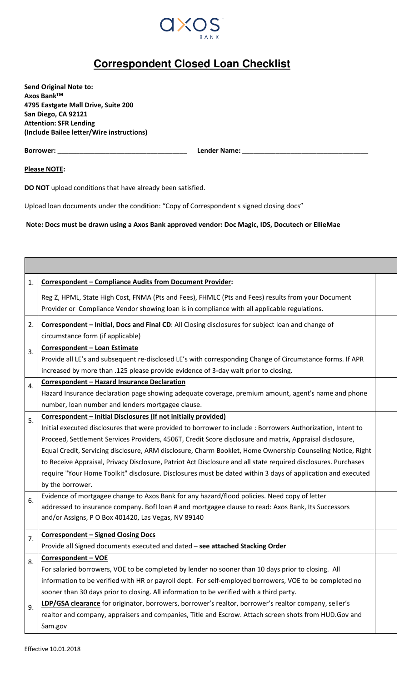

## **Correspondent Closed Loan Checklist**

**Send Original Note to: Axos BankTM 4795 Eastgate Mall Drive, Suite 200 San Diego, CA 92121 Attention: SFR Lending (Include Bailee letter/Wire instructions)** 

**Borrower: \_\_\_\_\_\_\_\_\_\_\_\_\_\_\_\_\_\_\_\_\_\_\_\_\_\_\_\_\_\_\_\_\_\_\_ Lender Name: \_\_\_\_\_\_\_\_\_\_\_\_\_\_\_\_\_\_\_\_\_\_\_\_\_\_\_\_\_\_\_\_\_\_**

**Please NOTE:** 

**DO NOT** upload conditions that have already been satisfied.

Upload loan documents under the condition: "Copy of Correspondent s signed closing docs"

**Note: Docs must be drawn using a Axos Bank approved vendor: Doc Magic, IDS, Docutech or EllieMae**

| 1. | <b>Correspondent - Compliance Audits from Document Provider:</b>                                               |  |
|----|----------------------------------------------------------------------------------------------------------------|--|
|    | Reg Z, HPML, State High Cost, FNMA (Pts and Fees), FHMLC (Pts and Fees) results from your Document             |  |
|    | Provider or Compliance Vendor showing loan is in compliance with all applicable regulations.                   |  |
| 2. | Correspondent - Initial, Docs and Final CD: All Closing disclosures for subject loan and change of             |  |
|    | circumstance form (if applicable)                                                                              |  |
| 3. | Correspondent - Loan Estimate                                                                                  |  |
|    | Provide all LE's and subsequent re-disclosed LE's with corresponding Change of Circumstance forms. If APR      |  |
|    | increased by more than .125 please provide evidence of 3-day wait prior to closing.                            |  |
| 4. | <b>Correspondent - Hazard Insurance Declaration</b>                                                            |  |
|    | Hazard Insurance declaration page showing adequate coverage, premium amount, agent's name and phone            |  |
|    | number, loan number and lenders mortgagee clause.                                                              |  |
| 5. | Correspondent - Initial Disclosures (If not initially provided)                                                |  |
|    | Initial executed disclosures that were provided to borrower to include : Borrowers Authorization, Intent to    |  |
|    | Proceed, Settlement Services Providers, 4506T, Credit Score disclosure and matrix, Appraisal disclosure,       |  |
|    | Equal Credit, Servicing disclosure, ARM disclosure, Charm Booklet, Home Ownership Counseling Notice, Right     |  |
|    | to Receive Appraisal, Privacy Disclosure, Patriot Act Disclosure and all state required disclosures. Purchases |  |
|    | require "Your Home Toolkit" disclosure. Disclosures must be dated within 3 days of application and executed    |  |
|    | by the borrower.                                                                                               |  |
| 6. | Evidence of mortgagee change to Axos Bank for any hazard/flood policies. Need copy of letter                   |  |
|    | addressed to insurance company. BofI loan # and mortgagee clause to read: Axos Bank, Its Successors            |  |
|    | and/or Assigns, P O Box 401420, Las Vegas, NV 89140                                                            |  |
|    | <b>Correspondent - Signed Closing Docs</b>                                                                     |  |
| 7. | Provide all Signed documents executed and dated - see attached Stacking Order                                  |  |
| 8. | <b>Correspondent - VOE</b>                                                                                     |  |
|    | For salaried borrowers, VOE to be completed by lender no sooner than 10 days prior to closing. All             |  |
|    | information to be verified with HR or payroll dept. For self-employed borrowers, VOE to be completed no        |  |
|    | sooner than 30 days prior to closing. All information to be verified with a third party.                       |  |
| 9. | LDP/GSA clearance for originator, borrowers, borrower's realtor, borrower's realtor company, seller's          |  |
|    | realtor and company, appraisers and companies, Title and Escrow. Attach screen shots from HUD. Gov and         |  |
|    | Sam.gov                                                                                                        |  |